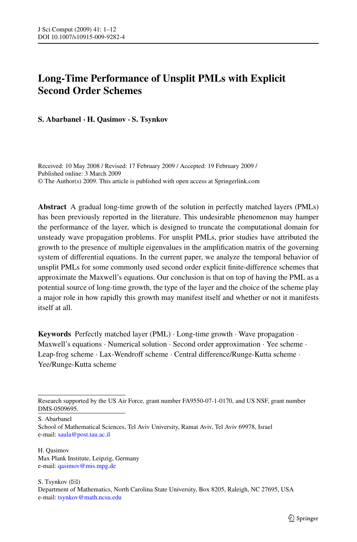# **Long-Time Performance of Unsplit PMLs with Explicit Second Order Schemes**

**S. Abarbanel · H. Qasimov · S. Tsynkov**

Received: 10 May 2008 / Revised: 17 February 2009 / Accepted: 19 February 2009 / Published online: 3 March 2009 © The Author(s) 2009. This article is published with open access at Springerlink.com

**Abstract** A gradual long-time growth of the solution in perfectly matched layers (PMLs) has been previously reported in the literature. This undesirable phenomenon may hamper the performance of the layer, which is designed to truncate the computational domain for unsteady wave propagation problems. For unsplit PMLs, prior studies have attributed the growth to the presence of multiple eigenvalues in the amplification matrix of the governing system of differential equations. In the current paper, we analyze the temporal behavior of unsplit PMLs for some commonly used second order explicit finite-difference schemes that approximate the Maxwell's equations. Our conclusion is that on top of having the PML as a potential source of long-time growth, the type of the layer and the choice of the scheme play a major role in how rapidly this growth may manifest itself and whether or not it manifests itself at all.

**Keywords** Perfectly matched layer (PML) · Long-time growth · Wave propagation · Maxwell's equations  $\cdot$  Numerical solution  $\cdot$  Second order approximation  $\cdot$  Yee scheme  $\cdot$ Leap-frog scheme · Lax-Wendroff scheme · Central difference/Runge-Kutta scheme · Yee/Runge-Kutta scheme

S. Abarbanel

H. Qasimov Max Plank Institute, Leipzig, Germany e-mail: [qasimov@mis.mpg.de](mailto:qasimov@mis.mpg.de)

S. Tsynkov  $(\boxtimes)$ Department of Mathematics, North Carolina State University, Box 8205, Raleigh, NC 27695, USA e-mail: [tsynkov@math.ncsu.edu](mailto:tsynkov@math.ncsu.edu)

Research supported by the US Air Force, grant number FA9550-07-1-0170, and US NSF, grant number DMS-0509695.

School of Mathematical Sciences, Tel Aviv University, Ramat Aviv, Tel Aviv 69978, Israel e-mail: [saula@post.tau.ac.il](mailto:saula@post.tau.ac.il)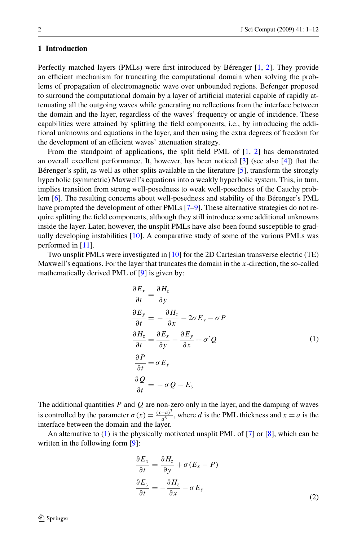#### <span id="page-1-0"></span>**1 Introduction**

Perfectly matched layers (PMLs) were first introduced by Bérenger [[1,](#page-10-0) [2](#page-10-0)]. They provide an efficient mechanism for truncating the computational domain when solving the problems of propagation of electromagnetic wave over unbounded regions. Befenger proposed to surround the computational domain by a layer of artificial material capable of rapidly attenuating all the outgoing waves while generating no reflections from the interface between the domain and the layer, regardless of the waves' frequency or angle of incidence. These capabilities were attained by splitting the field components, i.e., by introducing the additional unknowns and equations in the layer, and then using the extra degrees of freedom for the development of an efficient waves' attenuation strategy.

From the standpoint of applications, the split field PML of [[1,](#page-10-0) [2\]](#page-10-0) has demonstrated an overall excellent performance. It, however, has been noticed [\[3](#page-11-0)] (see also [\[4](#page-11-0)]) that the Bérenger's split, as well as other splits available in the literature [\[5](#page-11-0)], transform the strongly hyperbolic (symmetric) Maxwell's equations into a weakly hyperbolic system. This, in turn, implies transition from strong well-posedness to weak well-posedness of the Cauchy problem [[6\]](#page-11-0). The resulting concerns about well-posedness and stability of the Bérenger's PML have prompted the development of other PMLs [[7–9\]](#page-11-0). These alternative strategies do not require splitting the field components, although they still introduce some additional unknowns inside the layer. Later, however, the unsplit PMLs have also been found susceptible to gradually developing instabilities [[10](#page-11-0)]. A comparative study of some of the various PMLs was performed in [\[11\]](#page-11-0).

Two unsplit PMLs were investigated in [\[10\]](#page-11-0) for the 2D Cartesian transverse electric (TE) Maxwell's equations. For the layer that truncates the domain in the *x*-direction, the so-called mathematically derived PML of [\[9\]](#page-11-0) is given by:

$$
\frac{\partial E_x}{\partial t} = \frac{\partial H_z}{\partial y}
$$
  
\n
$$
\frac{\partial E_y}{\partial t} = -\frac{\partial H_z}{\partial x} - 2\sigma E_y - \sigma P
$$
  
\n
$$
\frac{\partial H_z}{\partial t} = \frac{\partial E_x}{\partial y} - \frac{\partial E_y}{\partial x} + \sigma' Q
$$
  
\n
$$
\frac{\partial P}{\partial t} = \sigma E_y
$$
  
\n
$$
\frac{\partial Q}{\partial t} = -\sigma Q - E_y
$$
  
\n(1)

The additional quantities *P* and *Q* are non-zero only in the layer, and the damping of waves is controlled by the parameter  $\sigma(x) = \frac{(x-a)^3}{d^3}$ , where *d* is the PML thickness and  $x = a$  is the interface between the domain and the layer.

An alternative to  $(1)$  is the physically motivated unsplit PML of [[7\]](#page-11-0) or [[8](#page-11-0)], which can be written in the following form [[9](#page-11-0)]:

$$
\frac{\partial E_x}{\partial t} = \frac{\partial H_z}{\partial y} + \sigma (E_x - P)
$$

$$
\frac{\partial E_y}{\partial t} = -\frac{\partial H_z}{\partial x} - \sigma E_y
$$
(2)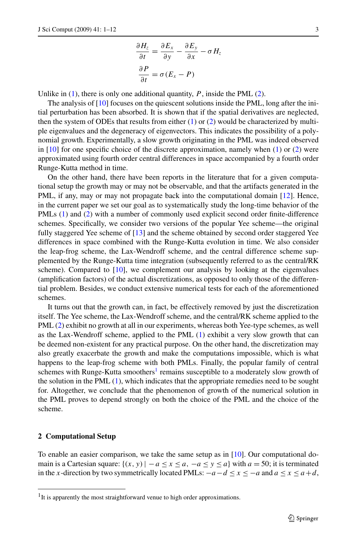$$
\frac{\partial H_z}{\partial t} = \frac{\partial E_x}{\partial y} - \frac{\partial E_y}{\partial x} - \sigma H_z
$$

$$
\frac{\partial P}{\partial t} = \sigma (E_x - P)
$$

<span id="page-2-0"></span>Unlike in  $(1)$  $(1)$  $(1)$ , there is only one additional quantity,  $P$ , inside the PML  $(2)$ .

The analysis of  $[10]$  focuses on the quiescent solutions inside the PML, long after the initial perturbation has been absorbed. It is shown that if the spatial derivatives are neglected, then the system of ODEs that results from either  $(1)$  $(1)$  or  $(2)$  $(2)$  would be characterized by multiple eigenvalues and the degeneracy of eigenvectors. This indicates the possibility of a polynomial growth. Experimentally, a slow growth originating in the PML was indeed observed in  $[10]$  for one specific choice of the discrete approximation, namely when  $(1)$  or  $(2)$  $(2)$  $(2)$  were approximated using fourth order central differences in space accompanied by a fourth order Runge-Kutta method in time.

On the other hand, there have been reports in the literature that for a given computational setup the growth may or may not be observable, and that the artifacts generated in the PML, if any, may or may not propagate back into the computational domain [\[12](#page-11-0)]. Hence, in the current paper we set our goal as to systematically study the long-time behavior of the PMLs ([1\)](#page-1-0) and [\(2\)](#page-1-0) with a number of commonly used explicit second order finite-difference schemes. Specifically, we consider two versions of the popular Yee scheme—the original fully staggered Yee scheme of [\[13\]](#page-11-0) and the scheme obtained by second order staggered Yee differences in space combined with the Runge-Kutta evolution in time. We also consider the leap-frog scheme, the Lax-Wendroff scheme, and the central difference scheme supplemented by the Runge-Kutta time integration (subsequently referred to as the central/RK scheme). Compared to  $[10]$  $[10]$  $[10]$ , we complement our analysis by looking at the eigenvalues (amplification factors) of the actual discretizations, as opposed to only those of the differential problem. Besides, we conduct extensive numerical tests for each of the aforementioned schemes.

It turns out that the growth can, in fact, be effectively removed by just the discretization itself. The Yee scheme, the Lax-Wendroff scheme, and the central/RK scheme applied to the PML [\(2](#page-1-0)) exhibit no growth at all in our experiments, whereas both Yee-type schemes, as well as the Lax-Wendroff scheme, applied to the PML ([1](#page-1-0)) exhibit a very slow growth that can be deemed non-existent for any practical purpose. On the other hand, the discretization may also greatly exacerbate the growth and make the computations impossible, which is what happens to the leap-frog scheme with both PMLs. Finally, the popular family of central schemes with Runge-Kutta smoothers<sup>1</sup> remains susceptible to a moderately slow growth of the solution in the PML  $(1)$  $(1)$ , which indicates that the appropriate remedies need to be sought for. Altogether, we conclude that the phenomenon of growth of the numerical solution in the PML proves to depend strongly on both the choice of the PML and the choice of the scheme.

#### **2 Computational Setup**

To enable an easier comparison, we take the same setup as in [[10](#page-11-0)]. Our computational domain is a Cartesian square:  $\{(x, y) | -a \le x \le a, -a \le y \le a\}$  with  $a = 50$ ; it is terminated in the *x*-direction by two symmetrically located PMLs:  $-a-d \le x \le -a$  and  $a \le x \le a+d$ ,

<sup>&</sup>lt;sup>1</sup>It is apparently the most straightforward venue to high order approximations.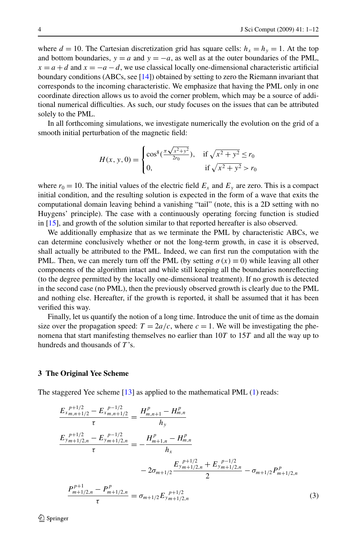<span id="page-3-0"></span>where  $d = 10$ . The Cartesian discretization grid has square cells:  $h_x = h_y = 1$ . At the top and bottom boundaries,  $y = a$  and  $y = -a$ , as well as at the outer boundaries of the PML,  $x = a + d$  and  $x = -a - d$ , we use classical locally one-dimensional characteristic artificial boundary conditions (ABCs, see [\[14\]](#page-11-0)) obtained by setting to zero the Riemann invariant that corresponds to the incoming characteristic. We emphasize that having the PML only in one coordinate direction allows us to avoid the corner problem, which may be a source of additional numerical difficulties. As such, our study focuses on the issues that can be attributed solely to the PML.

In all forthcoming simulations, we investigate numerically the evolution on the grid of a smooth initial perturbation of the magnetic field:

$$
H(x, y, 0) = \begin{cases} \cos^8(\frac{\pi\sqrt{x^2 + y^2}}{2r_0}), & \text{if } \sqrt{x^2 + y^2} \le r_0\\ 0, & \text{if } \sqrt{x^2 + y^2} > r_0 \end{cases}
$$

where  $r_0 = 10$ . The initial values of the electric field  $E_x$  and  $E_y$  are zero. This is a compact initial condition, and the resulting solution is expected in the form of a wave that exits the computational domain leaving behind a vanishing "tail" (note, this is a 2D setting with no Huygens' principle). The case with a continuously operating forcing function is studied in [[15](#page-11-0)], and growth of the solution similar to that reported hereafter is also observed.

We additionally emphasize that as we terminate the PML by characteristic ABCs, we can determine conclusively whether or not the long-term growth, in case it is observed, shall actually be attributed to the PML. Indeed, we can first run the computation with the PML. Then, we can merely turn off the PML (by setting  $\sigma(x) \equiv 0$ ) while leaving all other components of the algorithm intact and while still keeping all the boundaries nonreflecting (to the degree permitted by the locally one-dimensional treatment). If no growth is detected in the second case (no PML), then the previously observed growth is clearly due to the PML and nothing else. Hereafter, if the growth is reported, it shall be assumed that it has been verified this way.

Finally, let us quantify the notion of a long time. Introduce the unit of time as the domain size over the propagation speed:  $T = 2a/c$ , where  $c = 1$ . We will be investigating the phenomena that start manifesting themselves no earlier than 10*T* to 15*T* and all the way up to hundreds and thousands of *T* 's.

#### **3 The Original Yee Scheme**

The staggered Yee scheme [\[13\]](#page-11-0) as applied to the mathematical PML ([1](#page-1-0)) reads:

$$
\frac{E_{x_{m,n+1/2}}^{p+1/2} - E_{x_{m,n+1/2}}^{p-1/2}}{\tau} = \frac{H_{m,n+1}^p - H_{m,n}^p}{h_y}
$$
\n
$$
\frac{E_{y_{m+1/2,n}}^{p+1/2} - E_{y_{m+1/2,n}}^{p-1/2}}{\tau} = -\frac{H_{m+1,n}^p - H_{m,n}^p}{h_x}
$$
\n
$$
-2\sigma_{m+1/2} \frac{E_{y_{m+1/2,n}}^{p+1/2} + E_{y_{m+1/2,n}}^{p-1/2}}{2} - \sigma_{m+1/2} P_{m+1/2,n}^p
$$
\n
$$
\frac{P_{m+1/2,n}^{p+1} - P_{m+1/2,n}^p}{\tau} = \sigma_{m+1/2} E_{y_{m+1/2,n}}^{p+1/2}
$$
\n(3)

 $\mathcal{D}$  Springer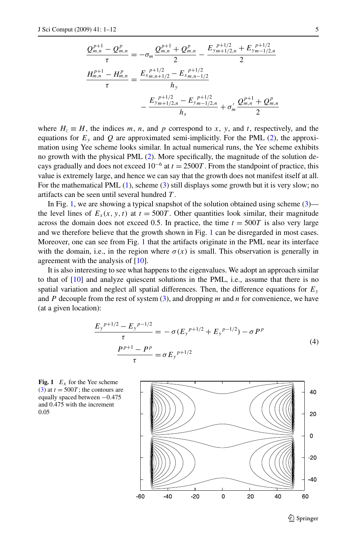<span id="page-4-0"></span>
$$
\frac{Q_{m,n}^{p+1} - Q_{m,n}^p}{\tau} = -\sigma_m \frac{Q_{m,n}^{p+1} + Q_{m,n}^p}{2} - \frac{E_{y_m+1/2,n} + E_{y_m-1/2,n}}{2}
$$

$$
\frac{H_{m,n}^{p+1} - H_{m,n}^p}{\tau} = \frac{E_{x_m,n+1/2} - E_{x_m,n-1/2}^{p+1/2}}{h_y}
$$

$$
- \frac{E_{y_m+1/2,n} - E_{y_m-1/2,n}^{p+1/2}}{h_x} + \sigma'_m \frac{Q_{m,n}^{p+1} + Q_{m,n}^p}{2}
$$

where  $H_z \equiv H$ , the indices *m*, *n*, and *p* correspond to *x*, *y*, and *t*, respectively, and the equations for  $E_y$  and  $Q$  are approximated semi-implicitly. For the PML [\(2](#page-1-0)), the approximation using Yee scheme looks similar. In actual numerical runs, the Yee scheme exhibits no growth with the physical PML ([2](#page-1-0)). More specifically, the magnitude of the solution decays gradually and does not exceed  $10^{-6}$  at  $t = 2500T$ . From the standpoint of practice, this value is extremely large, and hence we can say that the growth does not manifest itself at all. For the mathematical PML [\(1\)](#page-1-0), scheme [\(3](#page-3-0)) still displays some growth but it is very slow; no artifacts can be seen until several hundred *T* .

In Fig. 1, we are showing a typical snapshot of the solution obtained using scheme  $(3)$  the level lines of  $E_x(x, y, t)$  at  $t = 500T$ . Other quantities look similar, their magnitude across the domain does not exceed 0.5. In practice, the time  $t = 500T$  is also very large and we therefore believe that the growth shown in Fig. 1 can be disregarded in most cases. Moreover, one can see from Fig. 1 that the artifacts originate in the PML near its interface with the domain, i.e., in the region where  $\sigma(x)$  is small. This observation is generally in agreement with the analysis of [\[10](#page-11-0)].

It is also interesting to see what happens to the eigenvalues. We adopt an approach similar to that of  $[10]$  $[10]$  and analyze quiescent solutions in the PML, i.e., assume that there is no spatial variation and neglect all spatial differences. Then, the difference equations for  $E_y$ and *P* decouple from the rest of system [\(3\)](#page-3-0), and dropping *m* and *n* for convenience, we have (at a given location):

$$
\frac{E_y^{p+1/2} - E_y^{p-1/2}}{\tau} = -\sigma (E_y^{p+1/2} + E_y^{p-1/2}) - \sigma P^p
$$
\n
$$
\frac{P^{p+1} - P^p}{\tau} = \sigma E_y^{p+1/2}
$$
\n(4)





 $\mathcal{D}$  Springer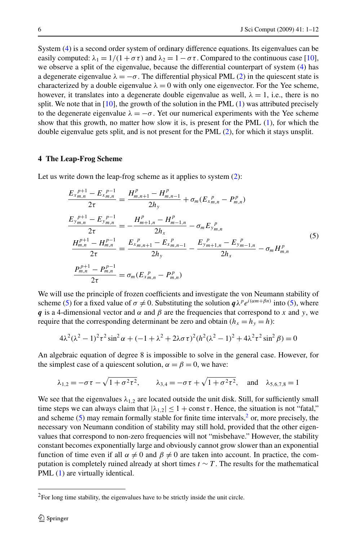System [\(4\)](#page-4-0) is a second order system of ordinary difference equations. Its eigenvalues can be easily computed:  $\lambda_1 = 1/(1 + \sigma \tau)$  and  $\lambda_2 = 1 - \sigma \tau$ . Compared to the continuous case [[10](#page-11-0)], we observe a split of the eigenvalue, because the differential counterpart of system [\(4](#page-4-0)) has a degenerate eigenvalue  $\lambda = -\sigma$ . The differential physical PML ([2](#page-1-0)) in the quiescent state is characterized by a double eigenvalue  $\lambda = 0$  with only one eigenvector. For the Yee scheme, however, it translates into a degenerate double eigenvalue as well,  $\lambda = 1$ , i.e., there is no split. We note that in  $[10]$  $[10]$  $[10]$ , the growth of the solution in the PML  $(1)$  $(1)$  was attributed precisely to the degenerate eigenvalue  $\lambda = -\sigma$ . Yet our numerical experiments with the Yee scheme show that this growth, no matter how slow it is, is present for the PML ([1](#page-1-0)), for which the double eigenvalue gets split, and is not present for the PML ([2](#page-1-0)), for which it stays unsplit.

## **4 The Leap-Frog Scheme**

Let us write down the leap-frog scheme as it applies to system ([2\)](#page-1-0):

$$
\frac{E_{x_{m,n}}^{p+1} - E_{x_{m,n}}^{p-1}}{2\tau} = \frac{H_{m,n+1}^p - H_{m,n-1}^p}{2h_y} + \sigma_m (E_{x_{m,n}}^p - P_{m,n}^p)
$$
\n
$$
\frac{E_{y_{m,n}}^{p+1} - E_{y_{m,n}}^{p-1}}{2\tau} = -\frac{H_{m+1,n}^p - H_{m-1,n}^p}{2h_x} - \sigma_m E_{y_{m,n}}^{p}
$$
\n
$$
\frac{H_{m,n}^{p+1} - H_{m,n}^{p-1}}{2\tau} = \frac{E_{x_{m,n+1}}^{p} - E_{x_{m,n-1}}^{p}}{2h_y} - \frac{E_{y_{m+1,n}}^{p} - E_{y_{m-1,n}}^{p}}{2h_x} - \sigma_m H_{m,n}^p
$$
\n
$$
\frac{P_{m,n}^{p+1} - P_{m,n}^{p-1}}{2\tau} = \sigma_m (E_{x_{m,n}}^p - P_{m,n}^p)
$$
\n(5)

We will use the principle of frozen coefficients and investigate the von Neumann stability of scheme (5) for a fixed value of  $\sigma \neq 0$ . Substituting the solution  $q\lambda^p e^{i(\alpha m + \beta n)}$  into (5), where *q* is a 4-dimensional vector and  $\alpha$  and  $\beta$  are the frequencies that correspond to *x* and *y*, we require that the corresponding determinant be zero and obtain  $(h_x = h_y = h)$ :

$$
4\lambda^{2}(\lambda^{2} - 1)^{2} \tau^{2} \sin^{2} \alpha + (-1 + \lambda^{2} + 2\lambda \sigma \tau)^{2} (h^{2}(\lambda^{2} - 1)^{2} + 4\lambda^{2} \tau^{2} \sin^{2} \beta) = 0
$$

An algebraic equation of degree 8 is impossible to solve in the general case. However, for the simplest case of a quiescent solution,  $\alpha = \beta = 0$ , we have:

$$
\lambda_{1,2} = -\sigma \tau - \sqrt{1 + \sigma^2 \tau^2}
$$
,  $\lambda_{3,4} = -\sigma \tau + \sqrt{1 + \sigma^2 \tau^2}$ , and  $\lambda_{5,6,7,8} = 1$ 

We see that the eigenvalues  $\lambda_{1,2}$  are located outside the unit disk. Still, for sufficiently small time steps we can always claim that  $|\lambda_{1,2}| \leq 1 + \text{const } \tau$ . Hence, the situation is not "fatal," and scheme (5) may remain formally stable for finite time intervals, $<sup>2</sup>$  or, more precisely, the</sup> necessary von Neumann condition of stability may still hold, provided that the other eigenvalues that correspond to non-zero frequencies will not "misbehave." However, the stability constant becomes exponentially large and obviously cannot grow slower than an exponential function of time even if all  $\alpha \neq 0$  and  $\beta \neq 0$  are taken into account. In practice, the computation is completely ruined already at short times  $t \sim T$ . The results for the mathematical PML ([1\)](#page-1-0) are virtually identical.

<sup>&</sup>lt;sup>2</sup>For long time stability, the eigenvalues have to be strictly inside the unit circle.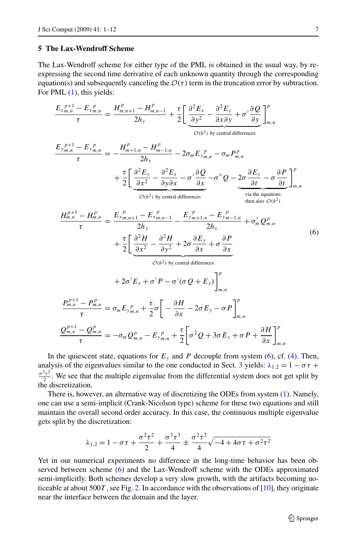#### <span id="page-6-0"></span>**5 The Lax-Wendroff Scheme**

The Lax-Wendroff scheme for either type of the PML is obtained in the usual way, by reexpressing the second time derivative of each unknown quantity through the corresponding equation(s) and subsequently canceling the  $\mathcal{O}(\tau)$  term in the truncation error by subtraction. For PML  $(1)$ , this yields:

$$
\frac{E_{x_{m,n}}^{p+1} - E_{x_{m,n}}^{p}}{\tau} = \frac{H_{m,n+1}^{p} - H_{m,n-1}^{p}}{2h_{y}} + \frac{\tau}{2} \bigg[ \underbrace{\frac{\partial^{2} E_{x}}{\partial y^{2}} - \frac{\partial^{2} E_{y}}{\partial x \partial y} + \sigma' \frac{\partial Q}{\partial y}}_{\text{O}(h^{2}) \text{ by central differences}} \bigg]_{m,n}^{p}
$$
\n
$$
\frac{E_{y_{m,n}}^{p+1} - E_{y_{m,n}}^{p}}{\tau} = -\frac{H_{m+1,n}^{p} - H_{m-1,n}^{p}}{2h_{x}} - 2\sigma_{m} E_{y_{m,n}}^{p} - \sigma_{m} P_{m,n}^{p}
$$
\n
$$
+ \frac{\tau}{2} \bigg[ \underbrace{\frac{\partial^{2} E_{y}}{\partial x^{2}} - \frac{\partial^{2} E_{x}}{\partial y \partial x} - \sigma' \frac{\partial Q}{\partial x} - \sigma'' Q - \underbrace{2\sigma \frac{\partial E_{y}}{\partial t} - \sigma \frac{\partial P}{\partial t}}_{\text{via the equations}} \bigg]_{m,n}^{p}
$$
\n
$$
\frac{H_{m,n}^{p+1} - H_{m,n}^{p}}{\tau} = \frac{E_{x_{m,n+1}}^{p} - E_{x_{m,n-1}}^{p}}{2h_{y}} - \frac{E_{y_{m+1,n}}^{p} - E_{y_{m-1,n}}^{p}}{2h_{x}} + \sigma'_{m} Q_{m,n}^{p}
$$
\n
$$
+ \frac{\tau}{2} \bigg[ \underbrace{\frac{\partial^{2} H}{\partial x^{2}} - \frac{\partial^{2} H}{\partial y^{2}} + 2\sigma \frac{\partial E_{y}}{\partial x} + \sigma \frac{\partial P}{\partial x}}_{\text{O}(h^{2}) \text{ by central differences}}
$$
\n
$$
+ 2\sigma' E_{y} + \sigma' P - \sigma'(\sigma Q + E_{y}) \bigg]_{m,n}^{p}
$$
\n
$$
\frac{P_{m,n}^{p+1} - P_{m,n}^{p}}{\tau} = \sigma_{m} E_{y_{m,n}}^{p} + \frac{\tau}{2} \sigma \bigg[ -\frac{\partial H}{\partial x} - 2\sigma E_{y} - \sigma P \bigg]_{m,n}^{p}
$$
\n
$$
\frac
$$

In the quiescent state, equations for  $E_y$  and  $P$  decouple from system (6), cf. ([4](#page-4-0)). Then, analysis of the eigenvalues similar to the one conducted in Sect. [3](#page-3-0) yields:  $\lambda_{1,2} = 1 - \sigma \tau +$  $\frac{\sigma^2 \tau^2}{2}$ . We see that the multiple eigenvalue from the differential system does not get split by the discretization.

There is, however, an alternative way of discretizing the ODEs from system [\(1](#page-1-0)). Namely, one can use a semi-implicit (Crank-Nicolson type) scheme for these two equations and still maintain the overall second order accuracy. In this case, the continuous multiple eigenvalue gets split by the discretization:

$$
\lambda_{1,2} = 1 - \sigma \tau + \frac{\sigma^2 \tau^2}{2} + \frac{\sigma^3 \tau^3}{4} \pm \frac{\sigma^2 \tau^2}{4} \sqrt{-4 + 4\sigma \tau + \sigma^2 \tau^2}
$$

Yet in our numerical experiments no difference in the long-time behavior has been observed between scheme (6) and the Lax-Wendroff scheme with the ODEs approximated semi-implicitly. Both schemes develop a very slow growth, with the artifacts becoming noticeable at about 500*T* , see Fig. [2.](#page-7-0) In accordance with the observations of [[10](#page-11-0)], they originate near the interface between the domain and the layer.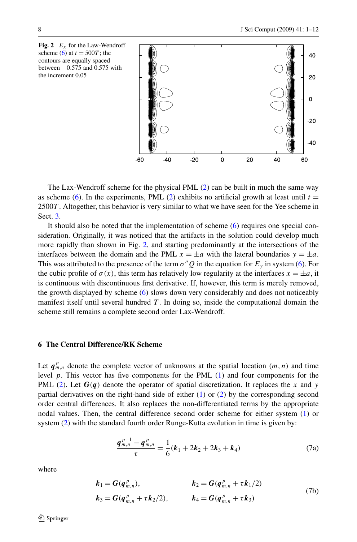<span id="page-7-0"></span>

The Lax-Wendroff scheme for the physical PML [\(2\)](#page-1-0) can be built in much the same way as scheme [\(6](#page-6-0)). In the experiments, PML [\(2\)](#page-1-0) exhibits no artificial growth at least until  $t =$ 2500*T* . Altogether, this behavior is very similar to what we have seen for the Yee scheme in Sect. [3.](#page-3-0)

It should also be noted that the implementation of scheme ([6](#page-6-0)) requires one special consideration. Originally, it was noticed that the artifacts in the solution could develop much more rapidly than shown in Fig. 2, and starting predominantly at the intersections of the interfaces between the domain and the PML  $x = \pm a$  with the lateral boundaries  $y = \pm a$ . This was attributed to the presence of the term  $\sigma''Q$  in the equation for  $E_y$  in system [\(6\)](#page-6-0). For the cubic profile of  $\sigma(x)$ , this term has relatively low regularity at the interfaces  $x = \pm a$ , it is continuous with discontinuous first derivative. If, however, this term is merely removed, the growth displayed by scheme ([6\)](#page-6-0) slows down very considerably and does not noticeably manifest itself until several hundred  $T$ . In doing so, inside the computational domain the scheme still remains a complete second order Lax-Wendroff.

### **6 The Central Difference/RK Scheme**

Let  $q_{m,n}^p$  denote the complete vector of unknowns at the spatial location  $(m,n)$  and time level *p*. This vector has five components for the PML [\(1](#page-1-0)) and four components for the PML ([2\)](#page-1-0). Let  $G(q)$  denote the operator of spatial discretization. It replaces the *x* and *y* partial derivatives on the right-hand side of either [\(1](#page-1-0)) or ([2](#page-1-0)) by the corresponding second order central differences. It also replaces the non-differentiated terms by the appropriate nodal values. Then, the central difference second order scheme for either system [\(1\)](#page-1-0) or system ([2](#page-1-0)) with the standard fourth order Runge-Kutta evolution in time is given by:

$$
\frac{q_{m,n}^{p+1} - q_{m,n}^p}{\tau} = \frac{1}{6}(k_1 + 2k_2 + 2k_3 + k_4)
$$
\n(7a)

where

$$
k_1 = G(q_{m,n}^p),
$$
  
\n
$$
k_2 = G(q_{m,n}^p + \tau k_1/2)
$$
  
\n
$$
k_3 = G(q_{m,n}^p + \tau k_2/2),
$$
  
\n
$$
k_4 = G(q_{m,n}^p + \tau k_3)
$$
  
\n(7b)

 $\mathcal{D}$  Springer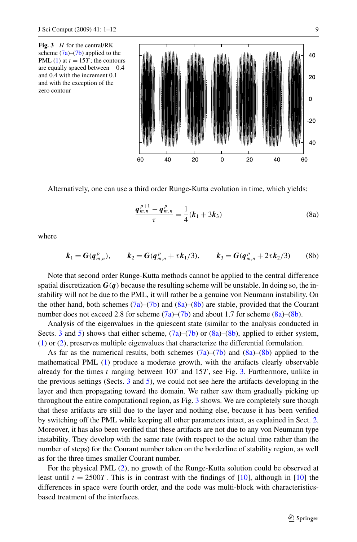**Fig. 3** *H* for the central/RK scheme  $(7a)$  $(7a)$  $(7a)$ – $(7b)$  $(7b)$  applied to the PML  $(1)$  $(1)$  at  $t = 15T$ ; the contours are equally spaced between −0*.*4 and 0.4 with the increment 0.1 and with the exception of the zero contour



Alternatively, one can use a third order Runge-Kutta evolution in time, which yields:

$$
\frac{q_{m,n}^{p+1} - q_{m,n}^p}{\tau} = \frac{1}{4}(k_1 + 3k_3)
$$
\n(8a)

where

$$
k_1 = G(q_{m,n}^p),
$$
  $k_2 = G(q_{m,n}^p + \tau k_1/3),$   $k_3 = G(q_{m,n}^p + 2\tau k_2/3)$  (8b)

Note that second order Runge-Kutta methods cannot be applied to the central difference spatial discretization  $G(q)$  because the resulting scheme will be unstable. In doing so, the instability will not be due to the PML, it will rather be a genuine von Neumann instability. On the other hand, both schemes  $(7a)$  $(7a)$ – $(7b)$  $(7b)$  $(7b)$  and  $(8a)$ – $(8b)$  are stable, provided that the Courant number does not exceed 2.8 for scheme  $(7a)$  $(7a)$ – $(7b)$  and about 1.7 for scheme  $(8a)$ – $(8b)$ .

Analysis of the eigenvalues in the quiescent state (similar to the analysis conducted in Sects. [3](#page-3-0) and [5\)](#page-6-0) shows that either scheme,  $(7a)$  $(7a)$ – $(7b)$  or  $(8a)$ – $(8b)$ , applied to either system, ([1\)](#page-1-0) or ([2](#page-1-0)), preserves multiple eigenvalues that characterize the differential formulation.

As far as the numerical results, both schemes  $(7a)$  $(7a)$ – $(7b)$  and  $(8a)$ – $(8b)$  applied to the mathematical PML ([1](#page-1-0)) produce a moderate growth, with the artifacts clearly observable already for the times *t* ranging between 10*T* and 15*T* , see Fig. 3. Furthermore, unlike in the previous settings (Sects. [3](#page-3-0) and [5\)](#page-6-0), we could not see here the artifacts developing in the layer and then propagating toward the domain. We rather saw them gradually picking up throughout the entire computational region, as Fig. 3 shows. We are completely sure though that these artifacts are still due to the layer and nothing else, because it has been verified by switching off the PML while keeping all other parameters intact, as explained in Sect. [2](#page-2-0). Moreover, it has also been verified that these artifacts are not due to any von Neumann type instability. They develop with the same rate (with respect to the actual time rather than the number of steps) for the Courant number taken on the borderline of stability region, as well as for the three times smaller Courant number.

For the physical PML ([2](#page-1-0)), no growth of the Runge-Kutta solution could be observed at least until  $t = 2500T$ . This is in contrast with the findings of [[10\]](#page-11-0), although in [[10](#page-11-0)] the differences in space were fourth order, and the code was multi-block with characteristicsbased treatment of the interfaces.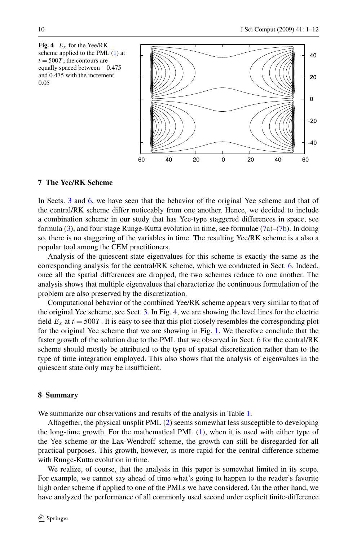<span id="page-9-0"></span>

## **7 The Yee/RK Scheme**

In Sects. [3](#page-3-0) and [6](#page-7-0), we have seen that the behavior of the original Yee scheme and that of the central/RK scheme differ noticeably from one another. Hence, we decided to include a combination scheme in our study that has Yee-type staggered differences in space, see formula  $(3)$ , and four stage Runge-Kutta evolution in time, see formulae  $(7a)$  $(7a)$ – $(7b)$  $(7b)$  $(7b)$ . In doing so, there is no staggering of the variables in time. The resulting Yee/RK scheme is a also a popular tool among the CEM practitioners.

Analysis of the quiescent state eigenvalues for this scheme is exactly the same as the corresponding analysis for the central/RK scheme, which we conducted in Sect. [6](#page-7-0). Indeed, once all the spatial differences are dropped, the two schemes reduce to one another. The analysis shows that multiple eigenvalues that characterize the continuous formulation of the problem are also preserved by the discretization.

Computational behavior of the combined Yee/RK scheme appears very similar to that of the original Yee scheme, see Sect. [3.](#page-3-0) In Fig. 4, we are showing the level lines for the electric field  $E_x$  at  $t = 500T$ . It is easy to see that this plot closely resembles the corresponding plot for the original Yee scheme that we are showing in Fig. [1](#page-4-0). We therefore conclude that the faster growth of the solution due to the PML that we observed in Sect. [6](#page-7-0) for the central/RK scheme should mostly be attributed to the type of spatial discretization rather than to the type of time integration employed. This also shows that the analysis of eigenvalues in the quiescent state only may be insufficient.

#### **8 Summary**

We summarize our observations and results of the analysis in Table [1](#page-10-0).

Altogether, the physical unsplit PML [\(2\)](#page-1-0) seems somewhat less susceptible to developing the long-time growth. For the mathematical PML ([1](#page-1-0)), when it is used with either type of the Yee scheme or the Lax-Wendroff scheme, the growth can still be disregarded for all practical purposes. This growth, however, is more rapid for the central difference scheme with Runge-Kutta evolution in time.

We realize, of course, that the analysis in this paper is somewhat limited in its scope. For example, we cannot say ahead of time what's going to happen to the reader's favorite high order scheme if applied to one of the PMLs we have considered. On the other hand, we have analyzed the performance of all commonly used second order explicit finite-difference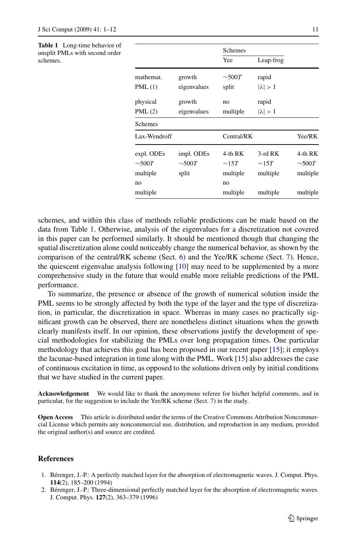<span id="page-10-0"></span>**Table 1** Long-time behavior of unsplit PMLs with second order schemes.

|              |             | <b>Schemes</b> |                 |             |
|--------------|-------------|----------------|-----------------|-------------|
|              |             | Yee            | Leap-frog       |             |
| mathemat.    | growth      | $\sim$ 500T    | rapid           |             |
| PML(1)       | eigenvalues | split          | $ \lambda  > 1$ |             |
| physical     | growth      | no             | rapid           |             |
| PML(2)       | eigenvalues | multiple       | $ \lambda  > 1$ |             |
| Schemes      |             |                |                 |             |
| Lax-Wendroff |             | Central/RK     |                 | Yee/RK      |
| expl. ODEs   | impl. ODEs  | 4-th RK        | $3$ -rd RK      | 4-th RK     |
| ${\sim}500T$ | $\sim$ 500T | $\sim$ 15T     | $\sim$ 15 $T$   | $\sim$ 500T |
| multiple     | split       | multiple       | multiple        | multiple    |
| no           |             | no             |                 |             |
| multiple     |             | multiple       | multiple        | multiple    |

schemes, and within this class of methods reliable predictions can be made based on the data from Table 1. Otherwise, analysis of the eigenvalues for a discretization not covered in this paper can be performed similarly. It should be mentioned though that changing the spatial discretization alone could noticeably change the numerical behavior, as shown by the comparison of the central/ $RK$  scheme (Sect. [6](#page-7-0)) and the Yee/ $RK$  scheme (Sect. [7](#page-9-0)). Hence, the quiescent eigenvalue analysis following  $[10]$  $[10]$  $[10]$  may need to be supplemented by a more comprehensive study in the future that would enable more reliable predictions of the PML performance.

To summarize, the presence or absence of the growth of numerical solution inside the PML seems to be strongly affected by both the type of the layer and the type of discretization, in particular, the discretization in space. Whereas in many cases no practically significant growth can be observed, there are nonetheless distinct situations when the growth clearly manifests itself. In our opinion, these observations justify the development of special methodologies for stabilizing the PMLs over long propagation times. One particular methodology that achieves this goal has been proposed in our recent paper [\[15\]](#page-11-0); it employs the lacunae-based integration in time along with the PML. Work [\[15\]](#page-11-0) also addresses the case of continuous excitation in time, as opposed to the solutions driven only by initial conditions that we have studied in the current paper.

**Acknowledgement** We would like to thank the anonymous referee for his/her helpful comments, and in particular, for the suggestion to include the Yee/RK scheme (Sect. [7](#page-9-0)) in the study.

**Open Access** This article is distributed under the terms of the Creative Commons Attribution Noncommercial License which permits any noncommercial use, distribution, and reproduction in any medium, provided the original author(s) and source are credited.

#### **References**

- 1. Bérenger, J.-P.: A perfectly matched layer for the absorption of electromagnetic waves. J. Comput. Phys. **114**(2), 185–200 (1994)
- 2. Bérenger, J.-P.: Three-dimensional perfectly matched layer for the absorption of electromagnetic waves. J. Comput. Phys. **127**(2), 363–379 (1996)